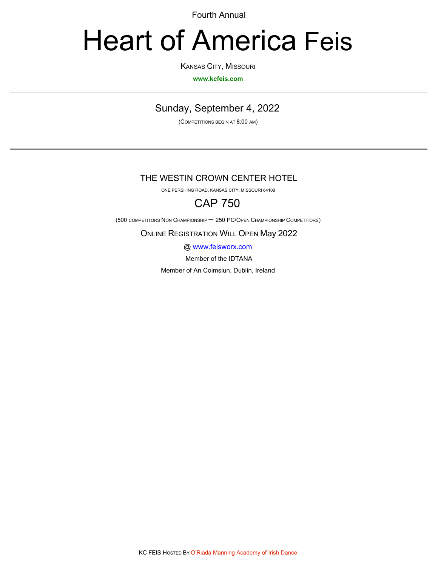Fourth Annual

# Heart of America Feis

KANSAS CITY, MISSOURI

#### **www.kcfeis.com**

Sunday, September 4, 2022

(COMPETITIONS BEGIN AT 8:00 AM)

### THE WESTIN CROWN CENTER HOTEL

ONE PERSHING ROAD, KANSAS CITY, MISSOURI 64108

### CAP 750

(500 COMPETITORS NON CHAMPIONSHIP – 250 PC/OPEN CHAMPIONSHIP COMPETITORS)

ONLINE REGISTRATION WILL OPEN May 2022

@ www.feisworx.com

Member of the IDTANA

Member of An Coimsiun, Dublin, Ireland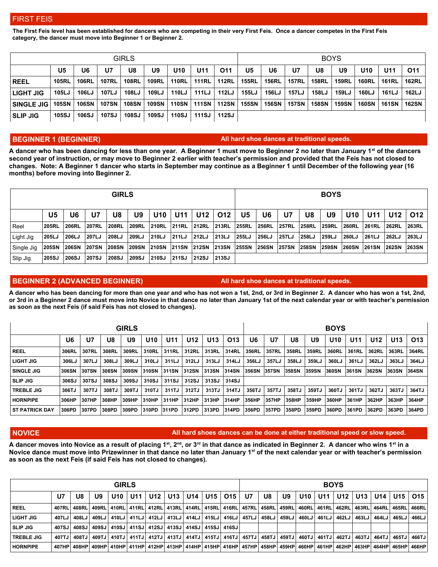**The First Feis level has been established for dancers who are competing in their very First Feis. Once a dancer competes in the First Feis category, the dancer must move into Beginner 1 or Beginner 2.**

|                   |              |       |              | GIRLS        |              |              |                 |                 |              |              |              | <b>BOYS</b>  |              |              |              |                 |
|-------------------|--------------|-------|--------------|--------------|--------------|--------------|-----------------|-----------------|--------------|--------------|--------------|--------------|--------------|--------------|--------------|-----------------|
|                   | U5           | U6    | U7           | U8           | U9           | U10          | U <sub>11</sub> | O <sub>11</sub> | U5           | U6           | U7           | U8           | U9           | U10          | U11          | O <sub>11</sub> |
| <b>REEL</b>       | <b>105RL</b> | 106RL | <b>107RL</b> | 108RL        | <b>109RL</b> | <b>110RL</b> | <b>111RL</b>    | <b>112RL</b>    | <b>155RL</b> | <b>156RL</b> | <b>157RL</b> | <b>158RL</b> | 159RL        | <b>160RL</b> | <b>161RL</b> | <b>162RL</b>    |
| <b>LIGHT JIG</b>  | 105LJ        | 106LJ | 107LJ        | 108LJ        | 109LJ        | 110LJ        | <b>111LJ</b>    | 112LJ           | <b>155LJ</b> | 156LJ        | 157LJ        | <b>158LJ</b> | <b>159LJ</b> | <b>160LJ</b> | <b>161LJ</b> | <b>162LJ</b>    |
| <b>SINGLE JIG</b> | 105SN        | 106SN | <b>107SN</b> | <b>108SN</b> | <b>109SN</b> | <b>110SN</b> | <b>111SN</b>    | 112SN           | <b>155SN</b> | 156SN        | <b>157SN</b> | <b>158SN</b> | <b>159SN</b> | <b>160SN</b> | <b>161SN</b> | <b>162SN</b>    |
| <b>SLIP JIG</b>   | 105SJ        | 106SJ | <b>107SJ</b> | <b>108SJ</b> | 109SJ        | 110SJ        | <b>111SJ</b>    | 112SJ           |              |              |              |              |              |              |              |                 |

#### **BEGINNER 1 (BEGINNER) All hard shoe dances at traditional speeds.**

**A dancer who has been dancing for less than one year. A Beginner 1 must move to Beginner 2 no later than January 1st of the dancers second year of instruction, or may move to Beginner 2 earlier with teacher's permission and provided that the Feis has not closed to changes. Note: A Beginner 1 dancer who starts in September may continue as a Beginner 1 until December of the following year (16 months) before moving into Beginner 2.**

|            |              |              |              | <b>GIRLS</b> |              |              |              |       |                 |              |              |              |              | <b>BOYS</b>  |              |              |              |              |
|------------|--------------|--------------|--------------|--------------|--------------|--------------|--------------|-------|-----------------|--------------|--------------|--------------|--------------|--------------|--------------|--------------|--------------|--------------|
|            | U5           | U6           | U7           | U8           | U9           | U10          | U11          | U12   | O <sub>12</sub> | U5           | U6           | U7           | U8           | U9           | <b>U10</b>   | U11          | U12          | O12          |
| Reel       | <b>205RL</b> | <b>206RL</b> | <b>207RL</b> | <b>208RL</b> | <b>209RL</b> | <b>210RL</b> | 211RL        | 212RL | <b>213RL</b>    | <b>255RL</b> | <b>256RL</b> | <b>257RL</b> | <b>258RL</b> | <b>259RL</b> | <b>260RL</b> | <b>261RL</b> | <b>262RL</b> | <b>263RL</b> |
| Light Jig  | 205LJ        | 206LJ        | 207LJ        | 208LJ        | 209LJ        | 210LJ        | 211LJ        | 212LJ | 213LJ           | 255LJ        | 256LJ        | 257LJ        | 258LJ        | 259LJ        | 260LJ        | 261LJ        | 262LJ        | 263LJ        |
| Single Jig | 205SN        | <b>206SN</b> | 207SN        | 208SN        | <b>209SN</b> | <b>210SN</b> | <b>211SN</b> | 212SN | 213SN           | <b>255SN</b> | 256SN        | <b>257SN</b> | 258SN        | <b>259SN</b> | 260SN        | 261SN        | <b>262SN</b> | <b>263SN</b> |
| Slip Jig   | <b>205SJ</b> | 206SJ        | <b>207SJ</b> | <b>208SJ</b> | 209SJ        | 210SJ        | <b>211SJ</b> | 212SJ | 213SJ           |              |              |              |              |              |              |              |              |              |

**BEGINNER 2 (ADVANCED BEGINNER) All hard shoe dances at traditional speeds.**

**A dancer who has been dancing for more than one year and who has not won a 1st, 2nd, or 3rd in Beginner 2. A dancer who has won a 1st, 2nd, or 3rd in a Beginner 2 dance must move into Novice in that dance no later than January 1st of the next calendar year or with teacher's permission as soon as the next Feis (if said Feis has not closed to changes).**

|                       |       |              |       | <b>GIRLS</b> |                 |       |                 |                 |                 |       |              |       |              | <b>BOYS</b>     |       |                 |       |                 |
|-----------------------|-------|--------------|-------|--------------|-----------------|-------|-----------------|-----------------|-----------------|-------|--------------|-------|--------------|-----------------|-------|-----------------|-------|-----------------|
|                       | U6    | U7           | U8    | U9           | U <sub>10</sub> | U11   | U <sub>12</sub> | U <sub>13</sub> | O <sub>13</sub> | U6    | U7           | U8    | U9           | U <sub>10</sub> | U11   | U <sub>12</sub> | U13   | O <sub>13</sub> |
| <b>REEL</b>           | 306RL | <b>307RL</b> | 308RL | 309RL        | 310RL           | 311RL | 312RL           | 313RL           | 314RL           | 356RL | 357RL        | 358RL | 359RL        | 360RL           | 361RL | 362RL           | 363RL | 364RL           |
| LIGHT JIG             | 306LJ | 307LJ        | 308LJ | 309LJ        | 310LJ           | 311LJ | 312LJ           | 313LJ           | 314LJ           | 356LJ | 357LJ        | 358LJ | 359LJ        | 360LJ           | 361LJ | 362LJ           | 363LJ | 364LJ           |
| <b>SINGLE JIG</b>     | 306SN | 307SN        | 308SN | 309SN        | 310SN           | 311SN | <b>312SN</b>    | 313SN           | 314SN           | 356SN | <b>357SN</b> | 358SN | <b>359SN</b> | 360SN           | 361SN | 362SN           | 363SN | <b>364SN</b>    |
| <b>SLIP JIG</b>       | 306SJ | 307SJ        | 308SJ | 309SJ        | 310SJ           | 311SJ | 312SJ           | 313SJ           | 314SJ           |       |              |       |              |                 |       |                 |       |                 |
| <b>TREBLE JIG</b>     | 306TJ | 307TJ        | 308TJ | 309TJ        | 310TJ           | 311TJ | 312TJ           | 313TJ           | 314TJ           | 356TJ | 357TJ        | 358TJ | 359TJ        | 360TJ           | 361TJ | 362TJ           | 363TJ | 364TJ           |
| <b>HORNPIPE</b>       | 306HP | 307HP        | 308HP | 309HP        | 310HP           | 311HP | 312HP           | 313HP           | 314HP           | 356HP | 357HP        | 358HP | 359HP        | 360HP           | 361HP | 362HP           | 363HP | 364HP           |
| <b>ST PATRICK DAY</b> | 306PD | 307PD        | 308PD | 309PD        | 310PD           | 311PD | 312PD           | 313PD           | 314PD           | 356PD | 357PD        | 358PD | 359PD        | 360PD           | 361PD | 362PD           | 363PD | 364PD           |

#### **NOVICE All hard shoes dances can be done at either traditional speed or slow speed.**

**A dancer moves into Novice as a result of placing 1st, 2nd, or 3rd in that dance as indicated in Beginner 2. A dancer who wins 1st in a Novice dance must move into Prizewinner in that dance no later than January 1st of the next calendar year or with teacher's permission as soon as the next Feis (if said Feis has not closed to changes).**

|                   |       |       |       | <b>GIRLS</b> |                 |                               |     |                               |       |                  |                         |          |       |       | <b>BOYS</b>       |       |       |                   |         |       |
|-------------------|-------|-------|-------|--------------|-----------------|-------------------------------|-----|-------------------------------|-------|------------------|-------------------------|----------|-------|-------|-------------------|-------|-------|-------------------|---------|-------|
|                   | U7    | U8    | U9    | U10          | U11             | U12                           | U13 | U14                           | U15   | O <sub>15</sub>  | U7                      | U8       | U9    | U10   | U <sub>11</sub>   | U12   | U13   | U14               | U15 I   | O15   |
| <b>REEL</b>       | 407RL | 408RL | 409RL |              |                 | 410RL 411RL 412RL 413RL 414RL |     |                               |       |                  | 415RL 416RL 457RL       | ∣ 458RL∣ | 459RL |       | 460RL 461RL       |       |       | 462RL 463RL 464RL | 465RL   | 466RL |
| <b>LIGHT JIG</b>  | 407LJ | 408LJ | 409LJ |              | $410LJ$ $411LJ$ |                               |     | 412LJ   413LJ   414LJ   415LJ |       |                  | 416LJ 457LJ             | 458LJ    | 459LJ | 460LJ | 461 LJ I          | 462LJ | 463LJ | 464LJ             | 465LJ   | 466LJ |
| <b>SLIP JIG</b>   | 407SJ | 408SJ | 409SJ |              |                 | 410SJ 411SJ 412SJ 413SJ 414SJ |     |                               |       | ∣ 415SJ∃ 416SJ ∣ |                         |          |       |       |                   |       |       |                   |         |       |
| <b>TREBLE JIG</b> | 407TJ | 408TJ | 409TJ |              | 410TJ 411TJ     |                               |     | 412TJ   413TJ   414TJ         | 415TJ |                  | 416TJ 457TJ 458TJ       |          | 459TJ | 460TJ | 461TJ             | 462TJ |       | 463TJ   464TJ     | 465TJ I | 466TJ |
| <b>HORNPIPE</b>   | 407HP | 408HP | 409HP |              | 410HP 411HP     |                               |     | 412HP 413HP 414HP             |       |                  | 415HP 416HP 457HP 458HP |          |       |       | 459HP 460HP 461HP | 462HP |       | 463HP 464HP 465HP |         | 466HP |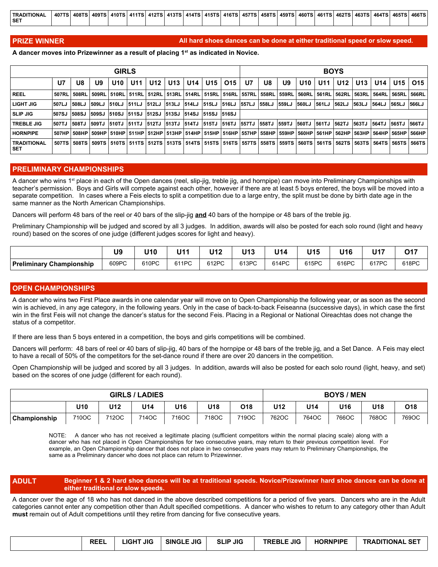| <b>TRADITIONAL</b><br><b>SET</b> | 407TS | 408TS | 409TS | 410TS ! | 411TS | 412TS ! | 413TS | 414TS | . 415TS <sup>!</sup> |  | 416TS 457TS | 458TS | $.459$ TS $^{\dagger}$ | 460TS | . 461TS ! | 462TS | 463TS $^{\prime}$ | 464TS | 465TS | 466TS |
|----------------------------------|-------|-------|-------|---------|-------|---------|-------|-------|----------------------|--|-------------|-------|------------------------|-------|-----------|-------|-------------------|-------|-------|-------|
|----------------------------------|-------|-------|-------|---------|-------|---------|-------|-------|----------------------|--|-------------|-------|------------------------|-------|-----------|-------|-------------------|-------|-------|-------|

**PRIZE WINNER All hard shoes dances can be done at either traditional speed or slow speed.**

**A dancer moves into Prizewinner as a result of placing 1st as indicated in Novice.**

|                                  |              |              |       | <b>GIRLS</b> |              |                       |              |                                           |              |                   |              |       |                   |                 |       | <b>BOYS</b> |         |       |             |                 |
|----------------------------------|--------------|--------------|-------|--------------|--------------|-----------------------|--------------|-------------------------------------------|--------------|-------------------|--------------|-------|-------------------|-----------------|-------|-------------|---------|-------|-------------|-----------------|
|                                  | U7           | U8           | U9    | U10          | U11          | U12                   | U13          | U14                                       | U15          | O <sub>15</sub>   | U7           | U8    | U9                | U <sub>10</sub> | U11   | U12         | U13     | U14   | U15         | O <sub>15</sub> |
| REEL                             | 507RL        | 508RL        | 509RL | <b>510RL</b> | 511RL        | 512RL   513RL   514RL |              |                                           | 515RL        | 516RL   557RL     |              | 558RL | 559RL             | 560RL           | 561RL | 562RL       | ∣ 563RL | 564RL | 565RL 566RL |                 |
| LIGHT JIG                        | 507LJ        | 508LJ        | 509LJ | 510LJ        | <b>511LJ</b> | <b>512LJ</b>          | <b>513LJ</b> | <b>514LJ</b>                              | <b>515LJ</b> | <b>516LJ</b>      | <b>557LJ</b> | 558LJ | <b>559LJ</b>      | <b>560LJ</b>    | 561LJ | 562LJ 563LJ |         | 564LJ | 1565LJ      | <b>566LJ</b>    |
| <b>SLIP JIG</b>                  | 507SJ        | 1508SJ       | 509SJ | <b>510SJ</b> |              |                       |              | 511SJ 512SJ 513SJ 514SJ 515SJ 516SJ       |              |                   |              |       |                   |                 |       |             |         |       |             |                 |
| <b>TREBLE JIG</b>                | 507TJ        | <b>508TJ</b> | 509TJ | <b>510TJ</b> | 511TJ 512TJ  |                       | <b>513TJ</b> | <b>514TJ</b>                              | 515TJ 516TJ  |                   | <b>557TJ</b> | 558TJ | 559TJ 560TJ       |                 | 561TJ | 562TJ 563TJ |         | 564TJ | 1565TJ      | <b>566TJ</b>    |
| <b>HORNPIPE</b>                  | 507HP        | 508HP        | 509HP |              |              |                       |              | ∣ 510HP ∣ 511HP ∣ 512HP ∣ 513HP ∣ 514HP ∣ |              | 515HP 516HP 557HP |              |       | 558HP 559HP 560HP |                 | 561HP | 562HP 563HP |         | 564HP | 565HP       | 566HP           |
| <b>TRADITIONAL</b><br><b>SET</b> | <b>507TS</b> | 508TS        | 509TS | 510TS        | 511TS        | 512TS                 |              | 513TS   514TS                             | 515TS        | 516TS   557TS     |              |       | 558TS 559TS       | 560TS           | 561TS | 562TS       | 563TS   | 564TS | 565TS       | 566TS           |

#### **PRELIMINARY CHAMPIONSHIPS**

A dancer who wins 1<sup>st</sup> place in each of the Open dances (reel, slip-jig, treble jig, and hornpipe) can move into Preliminary Championships with teacher's permission. Boys and Girls will compete against each other, however if there are at least 5 boys entered, the boys will be moved into a separate competition. In cases where a Feis elects to split a competition due to a large entry, the split must be done by birth date age in the same manner as the North American Championships.

Dancers will perform 48 bars of the reel or 40 bars of the slip-jig **and** 40 bars of the hornpipe or 48 bars of the treble jig.

Preliminary Championship will be judged and scored by all 3 judges. In addition, awards will also be posted for each solo round (light and heavy round) based on the scores of one judge (different judges scores for light and heavy).

|                                 | U9    | <b>U10</b> | 1144  | 1112<br>. . | U13   | U14   | U15<br>ັ | U16   | 1117<br><b></b> | $\bigcap_{ }$<br>vı. |
|---------------------------------|-------|------------|-------|-------------|-------|-------|----------|-------|-----------------|----------------------|
| <b>Preliminary Championship</b> | 609PC | 610PC      | 611PC | 612PC       | 613PC | 614PC | 615PC    | 616PC | 617PC           | 618PC                |

#### **OPEN CHAMPIONSHIPS**

A dancer who wins two First Place awards in one calendar year will move on to Open Championship the following year, or as soon as the second win is achieved, in any age category, in the following years. Only in the case of back-to-back Feiseanna (successive days), in which case the first win in the first Feis will not change the dancer's status for the second Feis. Placing in a Regional or National Oireachtas does not change the status of a competitor.

If there are less than 5 boys entered in a competition, the boys and girls competitions will be combined.

Dancers will perform: 48 bars of reel or 40 bars of slip-jig, 40 bars of the hornpipe or 48 bars of the treble jig, and a Set Dance. A Feis may elect to have a recall of 50% of the competitors for the set-dance round if there are over 20 dancers in the competition.

Open Championship will be judged and scored by all 3 judges. In addition, awards will also be posted for each solo round (light, heavy, and set) based on the scores of one judge (different for each round).

|                     |                 |       | <b>GIRLS / LADIES</b> |       |       |       |       |       | <b>BOYS / MEN</b> |       |                 |
|---------------------|-----------------|-------|-----------------------|-------|-------|-------|-------|-------|-------------------|-------|-----------------|
|                     | U <sub>10</sub> | U12   | U14                   | U16   | U18   | O18   | U12   | U14   | U16               | U18   | O <sub>18</sub> |
| <b>Championship</b> | 710OC           | 712OC | 714OC                 | 716OC | 718OC | 719OC | 762OC | 764OC | 766OC             | 768OC | 769OC           |

NOTE: A dancer who has not received a legitimate placing (sufficient competitors within the normal placing scale) along with a dancer who has not placed in Open Championships for two consecutive years, may return to their previous competition level. For example, an Open Championship dancer that does not place in two consecutive years may return to Preliminary Championships, the same as a Preliminary dancer who does not place can return to Prizewinner.

| <b>ADULT</b> | Beginner 1 & 2 hard shoe dances will be at traditional speeds. Novice/Prizewinner hard shoe dances can be done at |
|--------------|-------------------------------------------------------------------------------------------------------------------|
|              | either traditional or slow speeds.                                                                                |

A dancer over the age of 18 who has not danced in the above described competitions for a period of five years. Dancers who are in the Adult categories cannot enter any competition other than Adult specified competitions. A dancer who wishes to return to any category other than Adult **must** remain out of Adult competitions until they retire from dancing for five consecutive years.

| <b>REEL</b> | LIGHT JIG | <b>JIG</b><br><b>SINGLE</b> | <b>SLIP JIG</b> | <b>TREBLE JIG</b> | <b>HORNPIPE</b> | <b>TRADITIONAL SET</b> |
|-------------|-----------|-----------------------------|-----------------|-------------------|-----------------|------------------------|
|             |           |                             |                 |                   |                 |                        |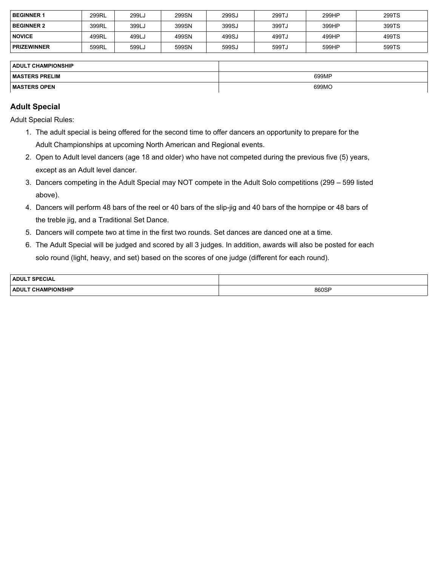| <b>BEGINNER 1</b>  | 299RL | 299L <sub>J</sub> | 299SN | 299SJ | 299TJ | 299HP | 299TS |
|--------------------|-------|-------------------|-------|-------|-------|-------|-------|
| <b>BEGINNER 2</b>  | 399RL | 399L <sub>u</sub> | 399SN | 399SJ | 399TJ | 399HP | 399TS |
| <b>NOVICE</b>      | 499RL | 499LJ             | 499SN | 499SJ | 499TJ | 499HP | 499TS |
| <b>PRIZEWINNER</b> | 599RL | 599LJ             | 599SN | 599SJ | 599TJ | 599HP | 599TS |

| <b>ADULT CHAMPIONSHIP</b> |       |
|---------------------------|-------|
| <b>MASTERS PRELIM</b>     | 699MP |
| <b>MASTERS OPEN</b>       | 699MO |

### **Adult Special**

Adult Special Rules:

- 1. The adult special is being offered for the second time to offer dancers an opportunity to prepare for the Adult Championships at upcoming North American and Regional events.
- 2. Open to Adult level dancers (age 18 and older) who have not competed during the previous five (5) years, except as an Adult level dancer.
- 3. Dancers competing in the Adult Special may NOT compete in the Adult Solo competitions (299 599 listed above).
- 4. Dancers will perform 48 bars of the reel or 40 bars of the slip-jig and 40 bars of the hornpipe or 48 bars of the treble jig, and a Traditional Set Dance.
- 5. Dancers will compete two at time in the first two rounds. Set dances are danced one at a time.
- 6. The Adult Special will be judged and scored by all 3 judges. In addition, awards will also be posted for each solo round (light, heavy, and set) based on the scores of one judge (different for each round).

| <b>ADULT SPECIAL</b>               |            |
|------------------------------------|------------|
| <b>CHAMPIONSHIP</b><br><b>ADUL</b> | 860SF<br>. |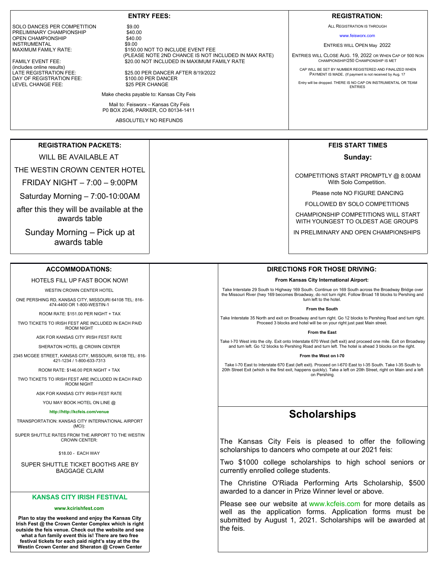| SOLO DANCES PER COMPETITION<br>\$9.00<br>PRELIMINARY CHAMPIONSHIP<br>\$40.00<br><b>OPEN CHAMPIONSHIP</b><br>\$40.00<br><b>INSTRUMENTAL</b><br>\$9.00<br><b>MAXIMUM FAMILY RATE:</b><br><b>FAMILY EVENT FEE:</b><br>(includes online results)<br>LATE REGISTRATION FEE:<br>DAY OF REGISTRATION FEE:<br>LEVEL CHANGE FEE:<br>\$25 PER CHANGE<br>Make checks payable to: Kansas City Feis<br>P0 BOX 2046, PARKER, CO 80134-1411 | <b>ENTRY FEES:</b><br>\$150.00 NOT TO INCLUDE EVENT FEE<br>(PLEASE NOTE 2ND CHANCE IS NOT INCLUDED IN MAX RATE)<br>\$20.00 NOT INCLUDED IN MAXIMUM FAMILY RATE<br>\$25.00 PER DANCER AFTER 8/19/2022<br>\$100.00 PER DANCER<br>Mail to: Feisworx - Kansas City Feis | <b>REGISTRATION:</b><br>ALL REGISTRATION IS THROUGH<br>www.feisworx.com<br>ENTRIES WILL OPEN May 2022<br>ENTRIES WILL CLOSE AUG. 19, 2022 OR WHEN CAP OF 500 NON<br>CHAMPIONSHIP/250 CHAMPIONSHIP IS MET<br>CAP WILL BE SET BY NUMBER REGISTERED AND FINALIZED WHEN<br>PAYMENT IS MADE. (If payment is not received by Aug. 17<br>Entry will be dropped. THERE IS NO CAP ON INSTRUMENTAL OR TEAM<br><b>ENTRIES</b> |  |
|------------------------------------------------------------------------------------------------------------------------------------------------------------------------------------------------------------------------------------------------------------------------------------------------------------------------------------------------------------------------------------------------------------------------------|---------------------------------------------------------------------------------------------------------------------------------------------------------------------------------------------------------------------------------------------------------------------|--------------------------------------------------------------------------------------------------------------------------------------------------------------------------------------------------------------------------------------------------------------------------------------------------------------------------------------------------------------------------------------------------------------------|--|
|                                                                                                                                                                                                                                                                                                                                                                                                                              | ABSOLUTELY NO REFUNDS                                                                                                                                                                                                                                               |                                                                                                                                                                                                                                                                                                                                                                                                                    |  |
|                                                                                                                                                                                                                                                                                                                                                                                                                              |                                                                                                                                                                                                                                                                     |                                                                                                                                                                                                                                                                                                                                                                                                                    |  |
| <b>REGISTRATION PACKETS:</b>                                                                                                                                                                                                                                                                                                                                                                                                 |                                                                                                                                                                                                                                                                     | <b>FEIS START TIMES</b>                                                                                                                                                                                                                                                                                                                                                                                            |  |
| WILL BE AVAILABLE AT                                                                                                                                                                                                                                                                                                                                                                                                         |                                                                                                                                                                                                                                                                     | Sunday:                                                                                                                                                                                                                                                                                                                                                                                                            |  |
| THE WESTIN CROWN CENTER HOTEL                                                                                                                                                                                                                                                                                                                                                                                                |                                                                                                                                                                                                                                                                     |                                                                                                                                                                                                                                                                                                                                                                                                                    |  |
| FRIDAY NIGHT - 7:00 - 9:00PM                                                                                                                                                                                                                                                                                                                                                                                                 |                                                                                                                                                                                                                                                                     | COMPETITIONS START PROMPTLY @ 8:00AM<br>With Solo Competition.                                                                                                                                                                                                                                                                                                                                                     |  |
| Saturday Morning - 7:00-10:00AM                                                                                                                                                                                                                                                                                                                                                                                              |                                                                                                                                                                                                                                                                     | Please note NO FIGURE DANCING                                                                                                                                                                                                                                                                                                                                                                                      |  |
| after this they will be available at the                                                                                                                                                                                                                                                                                                                                                                                     |                                                                                                                                                                                                                                                                     | FOLLOWED BY SOLO COMPETITIONS                                                                                                                                                                                                                                                                                                                                                                                      |  |
| awards table                                                                                                                                                                                                                                                                                                                                                                                                                 |                                                                                                                                                                                                                                                                     | CHAMPIONSHIP COMPETITIONS WILL START<br>WITH YOUNGEST TO OLDEST AGE GROUPS                                                                                                                                                                                                                                                                                                                                         |  |
| Sunday Morning – Pick up at<br>awards table                                                                                                                                                                                                                                                                                                                                                                                  |                                                                                                                                                                                                                                                                     | IN PRELIMINARY AND OPEN CHAMPIONSHIPS                                                                                                                                                                                                                                                                                                                                                                              |  |
|                                                                                                                                                                                                                                                                                                                                                                                                                              |                                                                                                                                                                                                                                                                     |                                                                                                                                                                                                                                                                                                                                                                                                                    |  |
| <b>ACCOMMODATIONS:</b>                                                                                                                                                                                                                                                                                                                                                                                                       |                                                                                                                                                                                                                                                                     | DIRECTIONS FOR THOSE DRIVING:                                                                                                                                                                                                                                                                                                                                                                                      |  |
| HOTELS FILL UP FAST BOOK NOW!                                                                                                                                                                                                                                                                                                                                                                                                | From Kansas City International Airport:                                                                                                                                                                                                                             |                                                                                                                                                                                                                                                                                                                                                                                                                    |  |
| WESTIN CROWN CENTER HOTEL                                                                                                                                                                                                                                                                                                                                                                                                    | Take Interstate 29 South to Highway 169 South. Continue on 169 South across the Broadway Bridge over<br>the Missouri River (hwy 169 becomes Broadway, do not turn right. Follow Broad 18 blocks to Pershing and                                                     |                                                                                                                                                                                                                                                                                                                                                                                                                    |  |
| ONE PERSHING RD, KANSAS CITY, MISSOURI 64108 TEL: 816-<br>474-4400 OR 1-800-WESTIN-1                                                                                                                                                                                                                                                                                                                                         | turn left to the hotel.<br>From the South                                                                                                                                                                                                                           |                                                                                                                                                                                                                                                                                                                                                                                                                    |  |
| ROOM RATE: \$151.00 PER NIGHT + TAX                                                                                                                                                                                                                                                                                                                                                                                          | Take Interstate 35 North and exit on Broadway and turn right. Go 12 blocks to Pershing Road and turn right.                                                                                                                                                         |                                                                                                                                                                                                                                                                                                                                                                                                                    |  |
| TWO TICKETS TO IRISH FEST ARE INCLUDED IN EACH PAID<br><b>ROOM NIGHT</b>                                                                                                                                                                                                                                                                                                                                                     |                                                                                                                                                                                                                                                                     | Proceed 3 blocks and hotel will be on your right just past Main street.                                                                                                                                                                                                                                                                                                                                            |  |
| ASK FOR KANSAS CITY IRISH FEST RATE                                                                                                                                                                                                                                                                                                                                                                                          | <b>From the East</b><br>Take I-70 West into the city. Exit onto Interstate 670 West (left exit) and proceed one mile. Exit on Broadway                                                                                                                              |                                                                                                                                                                                                                                                                                                                                                                                                                    |  |
| SHERATON HOTEL @ CROWN CENTER                                                                                                                                                                                                                                                                                                                                                                                                |                                                                                                                                                                                                                                                                     | and turn left. Go 12 blocks to Pershing Road and turn left. The hotel is ahead 3 blocks on the right.                                                                                                                                                                                                                                                                                                              |  |
| 2345 MCGEE STREET, KANSAS CITY, MISSOURI, 64108 TEL: 816-<br>421-1234 / 1-800-633-7313                                                                                                                                                                                                                                                                                                                                       |                                                                                                                                                                                                                                                                     | From the West on I-70<br>Take I-70 East to Interstate 670 East (left exit). Proceed on I-670 East to I-35 South. Take I-35 South to                                                                                                                                                                                                                                                                                |  |
| ROOM RATE: \$146.00 PER NIGHT + TAX                                                                                                                                                                                                                                                                                                                                                                                          |                                                                                                                                                                                                                                                                     | 20th Street Exit (which is the first exit, happens quickly). Take a left on 20th Street, right on Main and a left<br>on Pershing.                                                                                                                                                                                                                                                                                  |  |
| TWO TICKETS TO IRISH FEST ARE INCLUDED IN EACH PAID<br>ROOM NIGHT                                                                                                                                                                                                                                                                                                                                                            |                                                                                                                                                                                                                                                                     |                                                                                                                                                                                                                                                                                                                                                                                                                    |  |
| ASK FOR KANSAS CITY IRISH FEST RATE                                                                                                                                                                                                                                                                                                                                                                                          |                                                                                                                                                                                                                                                                     |                                                                                                                                                                                                                                                                                                                                                                                                                    |  |
| YOU MAY BOOK HOTEL ON LINE @<br>http://http://kcfeis.com/venue                                                                                                                                                                                                                                                                                                                                                               |                                                                                                                                                                                                                                                                     |                                                                                                                                                                                                                                                                                                                                                                                                                    |  |
| TRANSPORTATION: KANSAS CITY INTERNATIONAL AIRPORT                                                                                                                                                                                                                                                                                                                                                                            |                                                                                                                                                                                                                                                                     | <b>Scholarships</b>                                                                                                                                                                                                                                                                                                                                                                                                |  |
| (MCI):<br>SUPER SHUTTLE RATES FROM THE AIRPORT TO THE WESTIN<br><b>CROWN CENTER:</b>                                                                                                                                                                                                                                                                                                                                         |                                                                                                                                                                                                                                                                     | The Kansas City Feis is pleased to offer the following                                                                                                                                                                                                                                                                                                                                                             |  |
| \$18.00 - EACH WAY                                                                                                                                                                                                                                                                                                                                                                                                           |                                                                                                                                                                                                                                                                     | scholarships to dancers who compete at our 2021 feis:                                                                                                                                                                                                                                                                                                                                                              |  |
| SUPER SHUTTLE TICKET BOOTHS ARE BY<br><b>BAGGAGE CLAIM</b>                                                                                                                                                                                                                                                                                                                                                                   | Two \$1000 college scholarships to high school seniors or<br>currently enrolled college students.                                                                                                                                                                   |                                                                                                                                                                                                                                                                                                                                                                                                                    |  |
|                                                                                                                                                                                                                                                                                                                                                                                                                              |                                                                                                                                                                                                                                                                     | The Christine O'Riada Performing Arts Scholarship, \$500<br>awarded to a dancer in Prize Winner level or above.                                                                                                                                                                                                                                                                                                    |  |
| <b>KANSAS CITY IRISH FESTIVAL</b><br>www.kcirishfest.com                                                                                                                                                                                                                                                                                                                                                                     |                                                                                                                                                                                                                                                                     | Please see our website at www.kcfeis.com for more details as                                                                                                                                                                                                                                                                                                                                                       |  |
| Plan to stay the weekend and enjoy the Kansas City<br>Irish Fest @ the Crown Center Complex which is right<br>outside the feis venue. Check out the website and see<br>what a fun family event this is! There are two free<br>festival tickets for each paid night's stay at the the                                                                                                                                         | the feis.                                                                                                                                                                                                                                                           | well as the application forms. Application forms must be<br>submitted by August 1, 2021. Scholarships will be awarded at                                                                                                                                                                                                                                                                                           |  |

**Westin Crown Center and Sheraton @ Crown Center**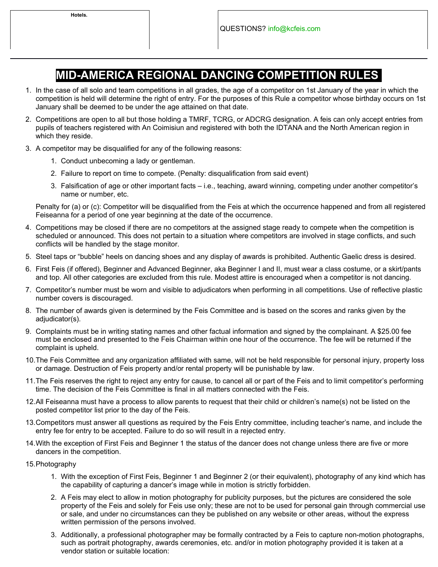**Hotels.** 

### **MID-AMERICA REGIONAL DANCING COMPETITION RULES**

- 1. In the case of all solo and team competitions in all grades, the age of a competitor on 1st January of the year in which the competition is held will determine the right of entry. For the purposes of this Rule a competitor whose birthday occurs on 1st January shall be deemed to be under the age attained on that date.
- 2. Competitions are open to all but those holding a TMRF, TCRG, or ADCRG designation. A feis can only accept entries from pupils of teachers registered with An Coimisiun and registered with both the IDTANA and the North American region in which they reside.
- 3. A competitor may be disqualified for any of the following reasons:
	- 1. Conduct unbecoming a lady or gentleman.
	- 2. Failure to report on time to compete. (Penalty: disqualification from said event)
	- 3. Falsification of age or other important facts i.e., teaching, award winning, competing under another competitor's name or number, etc.

Penalty for (a) or (c): Competitor will be disqualified from the Feis at which the occurrence happened and from all registered Feiseanna for a period of one year beginning at the date of the occurrence.

- 4. Competitions may be closed if there are no competitors at the assigned stage ready to compete when the competition is scheduled or announced. This does not pertain to a situation where competitors are involved in stage conflicts, and such conflicts will be handled by the stage monitor.
- 5. Steel taps or "bubble" heels on dancing shoes and any display of awards is prohibited. Authentic Gaelic dress is desired.
- 6. First Feis (if offered), Beginner and Advanced Beginner, aka Beginner I and II, must wear a class costume, or a skirt/pants and top. All other categories are excluded from this rule. Modest attire is encouraged when a competitor is not dancing.
- 7. Competitor's number must be worn and visible to adjudicators when performing in all competitions. Use of reflective plastic number covers is discouraged.
- 8. The number of awards given is determined by the Feis Committee and is based on the scores and ranks given by the adjudicator(s).
- 9. Complaints must be in writing stating names and other factual information and signed by the complainant. A \$25.00 fee must be enclosed and presented to the Feis Chairman within one hour of the occurrence. The fee will be returned if the complaint is upheld.
- 10.The Feis Committee and any organization affiliated with same, will not be held responsible for personal injury, property loss or damage. Destruction of Feis property and/or rental property will be punishable by law.
- 11.The Feis reserves the right to reject any entry for cause, to cancel all or part of the Feis and to limit competitor's performing time. The decision of the Feis Committee is final in all matters connected with the Feis.
- 12.All Feiseanna must have a process to allow parents to request that their child or children's name(s) not be listed on the posted competitor list prior to the day of the Feis.
- 13.Competitors must answer all questions as required by the Feis Entry committee, including teacher's name, and include the entry fee for entry to be accepted. Failure to do so will result in a rejected entry.
- 14.With the exception of First Feis and Beginner 1 the status of the dancer does not change unless there are five or more dancers in the competition.
- 15.Photography
	- 1. With the exception of First Feis, Beginner 1 and Beginner 2 (or their equivalent), photography of any kind which has the capability of capturing a dancer's image while in motion is strictly forbidden.
	- 2. A Feis may elect to allow in motion photography for publicity purposes, but the pictures are considered the sole property of the Feis and solely for Feis use only; these are not to be used for personal gain through commercial use or sale, and under no circumstances can they be published on any website or other areas, without the express written permission of the persons involved.
	- 3. Additionally, a professional photographer may be formally contracted by a Feis to capture non-motion photographs, such as portrait photography, awards ceremonies, etc. and/or in motion photography provided it is taken at a vendor station or suitable location: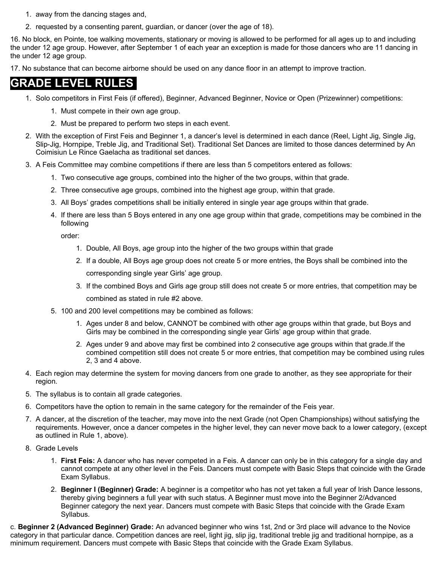- 1. away from the dancing stages and,
- 2. requested by a consenting parent, guardian, or dancer (over the age of 18).

16. No block, en Pointe, toe walking movements, stationary or moving is allowed to be performed for all ages up to and including the under 12 age group. However, after September 1 of each year an exception is made for those dancers who are 11 dancing in the under 12 age group.

17. No substance that can become airborne should be used on any dance floor in an attempt to improve traction.

# **GRADE LEVEL RULES**

- 1. Solo competitors in First Feis (if offered), Beginner, Advanced Beginner, Novice or Open (Prizewinner) competitions:
	- 1. Must compete in their own age group.
	- 2. Must be prepared to perform two steps in each event.
- 2. With the exception of First Feis and Beginner 1, a dancer's level is determined in each dance (Reel, Light Jig, Single Jig, Slip-Jig, Hornpipe, Treble Jig, and Traditional Set). Traditional Set Dances are limited to those dances determined by An Coimisiun Le Rince Gaelacha as traditional set dances.
- 3. A Feis Committee may combine competitions if there are less than 5 competitors entered as follows:
	- 1. Two consecutive age groups, combined into the higher of the two groups, within that grade.
	- 2. Three consecutive age groups, combined into the highest age group, within that grade.
	- 3. All Boys' grades competitions shall be initially entered in single year age groups within that grade.
	- 4. If there are less than 5 Boys entered in any one age group within that grade, competitions may be combined in the following

order:

- 1. Double, All Boys, age group into the higher of the two groups within that grade
- 2. If a double, All Boys age group does not create 5 or more entries, the Boys shall be combined into the corresponding single year Girls' age group.
- 3. If the combined Boys and Girls age group still does not create 5 or more entries, that competition may be combined as stated in rule #2 above.
- 5. 100 and 200 level competitions may be combined as follows:
	- 1. Ages under 8 and below, CANNOT be combined with other age groups within that grade, but Boys and Girls may be combined in the corresponding single year Girls' age group within that grade.
	- 2. Ages under 9 and above may first be combined into 2 consecutive age groups within that grade.If the combined competition still does not create 5 or more entries, that competition may be combined using rules 2, 3 and 4 above.
- 4. Each region may determine the system for moving dancers from one grade to another, as they see appropriate for their region.
- 5. The syllabus is to contain all grade categories.
- 6. Competitors have the option to remain in the same category for the remainder of the Feis year.
- 7. A dancer, at the discretion of the teacher, may move into the next Grade (not Open Championships) without satisfying the requirements. However, once a dancer competes in the higher level, they can never move back to a lower category, (except as outlined in Rule 1, above).
- 8. Grade Levels
	- 1. **First Feis:** A dancer who has never competed in a Feis. A dancer can only be in this category for a single day and cannot compete at any other level in the Feis. Dancers must compete with Basic Steps that coincide with the Grade Exam Syllabus.
	- 2. **Beginner I (Beginner) Grade:** A beginner is a competitor who has not yet taken a full year of Irish Dance lessons, thereby giving beginners a full year with such status. A Beginner must move into the Beginner 2/Advanced Beginner category the next year. Dancers must compete with Basic Steps that coincide with the Grade Exam Syllabus.

c. **Beginner 2 (Advanced Beginner) Grade:** An advanced beginner who wins 1st, 2nd or 3rd place will advance to the Novice category in that particular dance. Competition dances are reel, light jig, slip jig, traditional treble jig and traditional hornpipe, as a minimum requirement. Dancers must compete with Basic Steps that coincide with the Grade Exam Syllabus.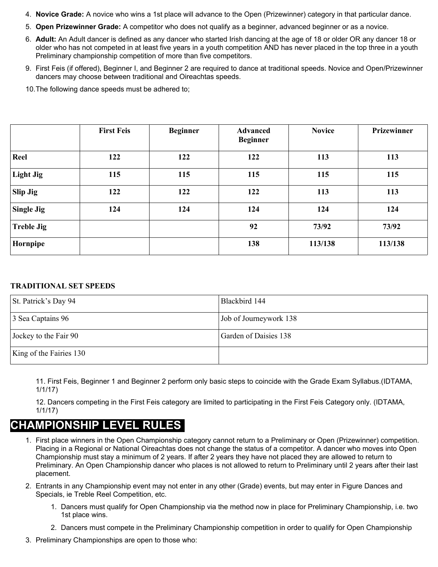- 4. **Novice Grade:** A novice who wins a 1st place will advance to the Open (Prizewinner) category in that particular dance.
- 5. **Open Prizewinner Grade:** A competitor who does not qualify as a beginner, advanced beginner or as a novice.
- 6. **Adult:** An Adult dancer is defined as any dancer who started Irish dancing at the age of 18 or older OR any dancer 18 or older who has not competed in at least five years in a youth competition AND has never placed in the top three in a youth Preliminary championship competition of more than five competitors.
- 9. First Feis (if offered), Beginner I, and Beginner 2 are required to dance at traditional speeds. Novice and Open/Prizewinner dancers may choose between traditional and Oireachtas speeds.
- 10.The following dance speeds must be adhered to;

|                   | <b>First Feis</b> | <b>Beginner</b> | <b>Advanced</b><br><b>Beginner</b> | <b>Novice</b> | Prizewinner |
|-------------------|-------------------|-----------------|------------------------------------|---------------|-------------|
| Reel              | 122               | 122             | 122                                | 113           | 113         |
| <b>Light Jig</b>  | 115               | 115             | 115                                | 115           | 115         |
| <b>Slip Jig</b>   | 122               | 122             | 122                                | 113           | 113         |
| <b>Single Jig</b> | 124               | 124             | 124                                | 124           | 124         |
| <b>Treble Jig</b> |                   |                 | 92                                 | 73/92         | 73/92       |
| Hornpipe          |                   |                 | 138                                | 113/138       | 113/138     |

### **TRADITIONAL SET SPEEDS**

| <b>St.</b> Patrick's Day 94 | Blackbird 144                |
|-----------------------------|------------------------------|
| 3 Sea Captains 96           | Job of Journeywork 138       |
| Jockey to the Fair 90       | <b>Garden of Daisies 138</b> |
| King of the Fairies 130     |                              |

11. First Feis, Beginner 1 and Beginner 2 perform only basic steps to coincide with the Grade Exam Syllabus.(IDTAMA, 1/1/17)

12. Dancers competing in the First Feis category are limited to participating in the First Feis Category only. (IDTAMA, 1/1/17)

# **CHAMPIONSHIP LEVEL RULES**

- 1. First place winners in the Open Championship category cannot return to a Preliminary or Open (Prizewinner) competition. Placing in a Regional or National Oireachtas does not change the status of a competitor. A dancer who moves into Open Championship must stay a minimum of 2 years. If after 2 years they have not placed they are allowed to return to Preliminary. An Open Championship dancer who places is not allowed to return to Preliminary until 2 years after their last placement.
- 2. Entrants in any Championship event may not enter in any other (Grade) events, but may enter in Figure Dances and Specials, ie Treble Reel Competition, etc.
	- 1. Dancers must qualify for Open Championship via the method now in place for Preliminary Championship, i.e. two 1st place wins.
	- 2. Dancers must compete in the Preliminary Championship competition in order to qualify for Open Championship
- 3. Preliminary Championships are open to those who: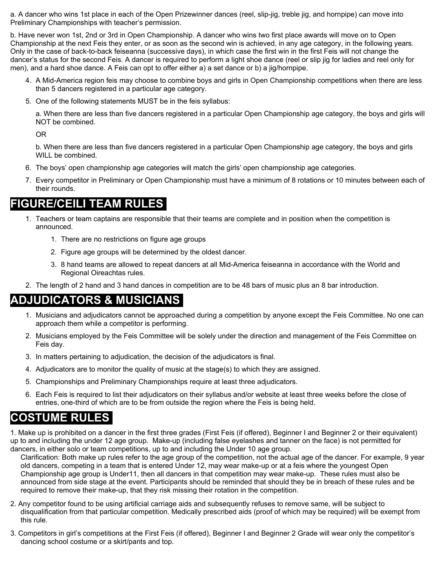a. A dancer who wins 1st place in each of the Open Prizewinner dances (reel, slip-jig, treble jig, and hornpipe) can move into Preliminary Championships with teacher's permission.

b. Have never won 1st, 2nd or 3rd in Open Championship. A dancer who wins two first place awards will move on to Open Championship at the next Feis they enter, or as soon as the second win is achieved, in any age category, in the following years. Only in the case of back-to-back feiseanna (successive days), in which case the first win in the first Feis will not change the dancer's status for the second Feis. A dancer is required to perform a light shoe dance (reel or slip jig for ladies and reel only for men), and a hard shoe dance. A Feis can opt to offer either a) a set dance or b) a jig/hornpipe.

- 4. A Mid-America region feis may choose to combine boys and girls in Open Championship competitions when there are less than 5 dancers registered in a particular age category.
- 5. One of the following statements MUST be in the feis syllabus:

a. When there are less than five dancers registered in a particular Open Championship age category, the boys and girls will NOT be combined.

OR

b. When there are less than five dancers registered in a particular Open Championship age category, the boys and girls WILL be combined.

- 6. The boys' open championship age categories will match the girls' open championship age categories.
- 7. Every competitor in Preliminary or Open Championship must have a minimum of 8 rotations or 10 minutes between each of their rounds.

### **FIGURE/CEILI TEAM RULES**

- 1. Teachers or team captains are responsible that their teams are complete and in position when the competition is announced.
	- 1. There are no restrictions on figure age groups
	- 2. Figure age groups will be determined by the oldest dancer.
	- 3. 8 hand teams are allowed to repeat dancers at all Mid-America feiseanna in accordance with the World and Regional Oireachtas rules.
- 2. The length of 2 hand and 3 hand dances in competition are to be 48 bars of music plus an 8 bar introduction.

## **ADJUDICATORS & MUSICIANS**

- 1. Musicians and adjudicators cannot be approached during a competition by anyone except the Feis Committee. No one can approach them while a competitor is performing.
- 2. Musicians employed by the Feis Committee will be solely under the direction and management of the Feis Committee on Feis day.
- 3. In matters pertaining to adjudication, the decision of the adjudicators is final.
- 4. Adjudicators are to monitor the quality of music at the stage(s) to which they are assigned.
- 5. Championships and Preliminary Championships require at least three adjudicators.
- 6. Each Feis is required to list their adjudicators on their syllabus and/or website at least three weeks before the close of entries, one-third of which are to be from outside the region where the Feis is being held.

## **COSTUME RULES**

1. Make up is prohibited on a dancer in the first three grades (First Feis (if offered), Beginner I and Beginner 2 or their equivalent) up to and including the under 12 age group. Make-up (including false eyelashes and tanner on the face) is not permitted for dancers, in either solo or team competitions, up to and including the Under 10 age group.

Clarification: Both make up rules refer to the age group of the competition, not the actual age of the dancer. For example, 9 year old dancers, competing in a team that is entered Under 12, may wear make-up or at a feis where the youngest Open Championship age group is Under11, then all dancers in that competition may wear make-up. These rules must also be announced from side stage at the event. Participants should be reminded that should they be in breach of these rules and be required to remove their make-up, that they risk missing their rotation in the competition.

- 2. Any competitor found to be using artificial carriage aids and subsequently refuses to remove same, will be subject to disqualification from that particular competition. Medically prescribed aids (proof of which may be required) will be exempt from this rule.
- 3. Competitors in girl's competitions at the First Feis (if offered), Beginner I and Beginner 2 Grade will wear only the competitor's dancing school costume or a skirt/pants and top.